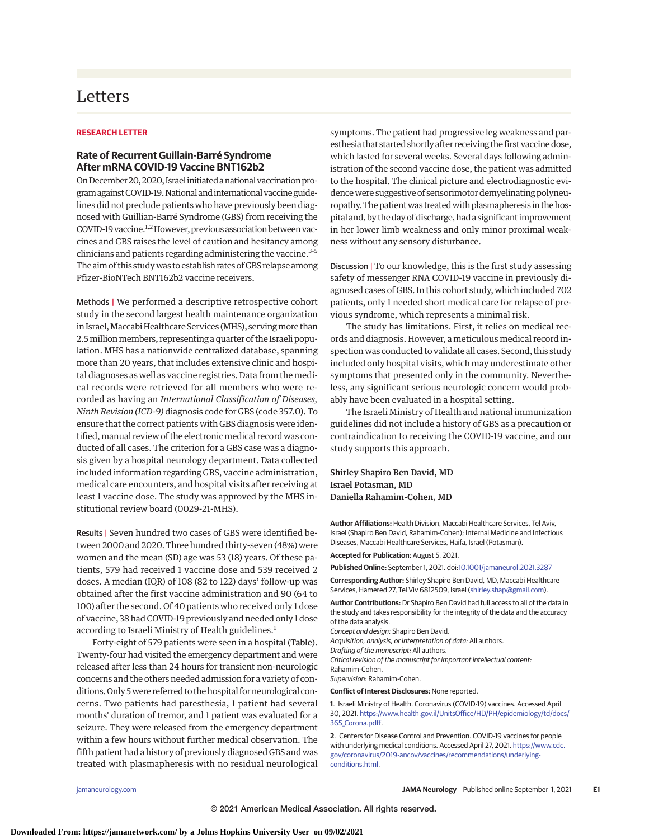## Letters

## **RESEARCH LETTER**

## **Rate of Recurrent Guillain-Barré Syndrome After mRNA COVID-19 Vaccine BNT162b2**

On December 20, 2020, Israel initiated a national vaccination program against COVID-19. National and international vaccine guidelines did not preclude patients who have previously been diagnosed with Guillian-Barré Syndrome (GBS) from receiving the COVID-19 vaccine.<sup>1,2</sup> However, previous association between vaccines and GBS raises the level of caution and hesitancy among clinicians and patients regarding administering the vaccine.<sup>3-5</sup> The aim of this studywas to establish rates of GBS relapse among Pfizer-BioNTech BNT162b2 vaccine receivers.

Methods | We performed a descriptive retrospective cohort study in the second largest health maintenance organization in Israel, Maccabi Healthcare Services (MHS), serving more than 2.5 million members, representing a quarter of the Israeli population. MHS has a nationwide centralized database, spanning more than 20 years, that includes extensive clinic and hospital diagnoses as well as vaccine registries. Data from the medical records were retrieved for all members who were recorded as having an *International Classification of Diseases, Ninth Revision (ICD-9)* diagnosis code for GBS (code 357.0). To ensure that the correct patients with GBS diagnosis were identified, manual review of the electronic medical record was conducted of all cases. The criterion for a GBS case was a diagnosis given by a hospital neurology department. Data collected included information regarding GBS, vaccine administration, medical care encounters, and hospital visits after receiving at least 1 vaccine dose. The study was approved by the MHS institutional review board (0029-21-MHS).

Results | Seven hundred two cases of GBS were identified between 2000 and 2020. Three hundred thirty-seven (48%) were women and the mean (SD) age was 53 (18) years. Of these patients, 579 had received 1 vaccine dose and 539 received 2 doses. A median (IQR) of 108 (82 to 122) days' follow-up was obtained after the first vaccine administration and 90 (64 to 100) after the second. Of 40 patients who received only 1 dose of vaccine, 38 had COVID-19 previously and needed only 1 dose according to Israeli Ministry of Health guidelines.<sup>1</sup>

Forty-eight of 579 patients were seen in a hospital (Table). Twenty-four had visited the emergency department and were released after less than 24 hours for transient non-neurologic concerns and the others needed admission for a variety of conditions. Only 5were referred to the hospital for neurological concerns. Two patients had paresthesia, 1 patient had several months' duration of tremor, and 1 patient was evaluated for a seizure. They were released from the emergency department within a few hours without further medical observation. The fifth patient had a history of previously diagnosed GBS and was treated with plasmapheresis with no residual neurological

symptoms. The patient had progressive leg weakness and paresthesia that started shortly after receiving the first vaccine dose, which lasted for several weeks. Several days following administration of the second vaccine dose, the patient was admitted to the hospital. The clinical picture and electrodiagnostic evidence were suggestive of sensorimotor demyelinating polyneuropathy. The patient was treated with plasmapheresis in the hospital and, by the day of discharge, had a significant improvement in her lower limb weakness and only minor proximal weakness without any sensory disturbance.

Discussion | To our knowledge, this is the first study assessing safety of messenger RNA COVID-19 vaccine in previously diagnosed cases of GBS. In this cohort study, which included 702 patients, only 1 needed short medical care for relapse of previous syndrome, which represents a minimal risk.

The study has limitations. First, it relies on medical records and diagnosis. However, a meticulous medical record inspection was conducted to validate all cases. Second, this study included only hospital visits, which may underestimate other symptoms that presented only in the community. Nevertheless, any significant serious neurologic concern would probably have been evaluated in a hospital setting.

The Israeli Ministry of Health and national immunization guidelines did not include a history of GBS as a precaution or contraindication to receiving the COVID-19 vaccine, and our study supports this approach.

Shirley Shapiro Ben David, MD Israel Potasman, MD Daniella Rahamim-Cohen, MD

**Author Affiliations:** Health Division, Maccabi Healthcare Services, Tel Aviv, Israel (Shapiro Ben David, Rahamim-Cohen); Internal Medicine and Infectious Diseases, Maccabi Healthcare Services, Haifa, Israel (Potasman).

**Accepted for Publication:** August 5, 2021.

**Published Online:** September 1, 2021. doi[:10.1001/jamaneurol.2021.3287](https://jamanetwork.com/journals/jama/fullarticle/10.1001/jamaneurol.2021.3287?utm_campaign=articlePDF%26utm_medium=articlePDFlink%26utm_source=articlePDF%26utm_content=jamaneurol.2021.3287)

**Corresponding Author:** Shirley Shapiro Ben David, MD, Maccabi Healthcare Services, Hamered 27, Tel Viv 6812509, Israel [\(shirley.shap@gmail.com\)](mailto:shirley.shap@gmail.com).

**Author Contributions:** Dr Shapiro Ben David had full access to all of the data in the study and takes responsibility for the integrity of the data and the accuracy of the data analysis.

Concept and design: Shapiro Ben David.

Acquisition, analysis, or interpretation of data: All authors.

Drafting of the manuscript: All authors.

Critical revision of the manuscript for important intellectual content:

Rahamim-Cohen.

Supervision: Rahamim-Cohen.

**Conflict of Interest Disclosures:** None reported.

**1**. Israeli Ministry of Health. Coronavirus (COVID-19) vaccines. Accessed April 30, 2021. [https://www.health.gov.il/UnitsOffice/HD/PH/epidemiology/td/docs/](https://www.health.gov.il/UnitsOffice/HD/PH/epidemiology/td/docs/365_Corona.pdf) [365\\_Corona.pdff.](https://www.health.gov.il/UnitsOffice/HD/PH/epidemiology/td/docs/365_Corona.pdf)

**2**. Centers for Disease Control and Prevention. COVID-19 vaccines for people with underlying medical conditions. Accessed April 27, 2021. [https://www.cdc.](https://www.cdc.gov/coronavirus/2019-ancov/vaccines/recommendations/underlying-conditions.html) [gov/coronavirus/2019-ancov/vaccines/recommendations/underlying](https://www.cdc.gov/coronavirus/2019-ancov/vaccines/recommendations/underlying-conditions.html)[conditions.html.](https://www.cdc.gov/coronavirus/2019-ancov/vaccines/recommendations/underlying-conditions.html)